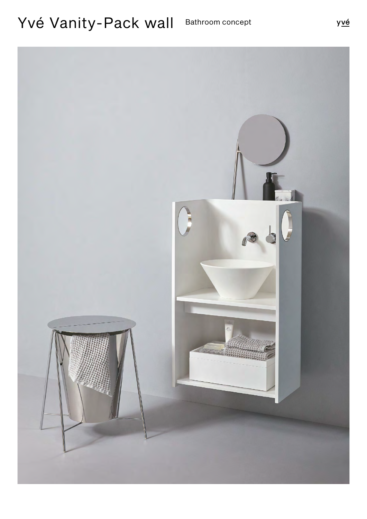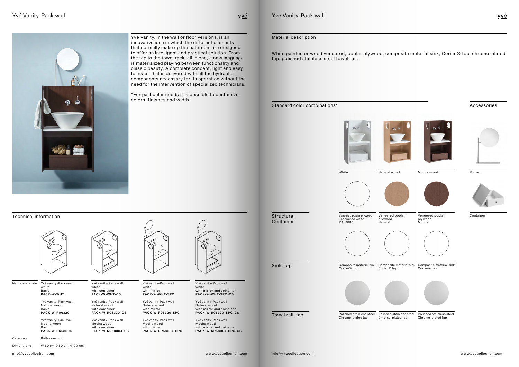yvé

PACK-W-WHT

Yvé vanity-Pack wall Natural wood **Basic** PACK-W-R06320

Yvé vanity-Pack wall Mocha wood **Basic** PACK-W-RR58004

Yvé vanity-Pack wall white with container PACK-W-WHT-CS

Yvé vanity-Pack wall Natural wood with container PACK-W-R06320-CS

Yvé vanity-Pack wall Mocha wood with container PACK-W-RR58004-CS



Yvé vanity-Pack wall white with mirror PACK-W-WHT-SPC

Yvé vanity-Pack wall white **Basic** Name and code

W 60 cm D 50 cm H 120 cm Dimensions



Yvé vanity-Pack wall Natural wood with mirror PACK-W-R06320-SPC

Bathroom unit Category

Yvé vanity-Pack wall Mocha wood with mirror PACK-W-RR58004-SPC



Yvé vanity-Pack wall white with mirror and coinainer PACK-W-WHT-SPC-CS

> Yvé vanity-Pack wall Natural wood with mirror and coinainer PACK-W-R06320-SPC-CS

Yvé vanity-Pack wall Mocha wood with mirror and coinainer PACK-W-RR58004-SPC-CS

Technical information



Yvé Vanity, in the wall or floor versions, is an innovative idea in which the different elements that normally make up the bathroom are designed to offer an intelligent and practical solution. From the tap to the towel rack, all in one, a new language is materialized playing between functionality and classic beauty. A complete concept, light and easy to install that is delivered with all the hydraulic components necessary for its operation without the need for the intervention of specialized technicians.

\*For particular needs it is possible to customize colors, finishes and width

Yvé Vanity-Pack wall



Veneered poplar plywood Lacquered white RAL 9016



Structure, Container

> Composite material sink Corian® top



Polished stainless steel Chrome-plated tap



Sink, top

Towel rail, tap

White painted or wood veneered, poplar plywood, composite material sink, Corian® top, chrome-plated tap, polished stainless steel towel rail.





Material description